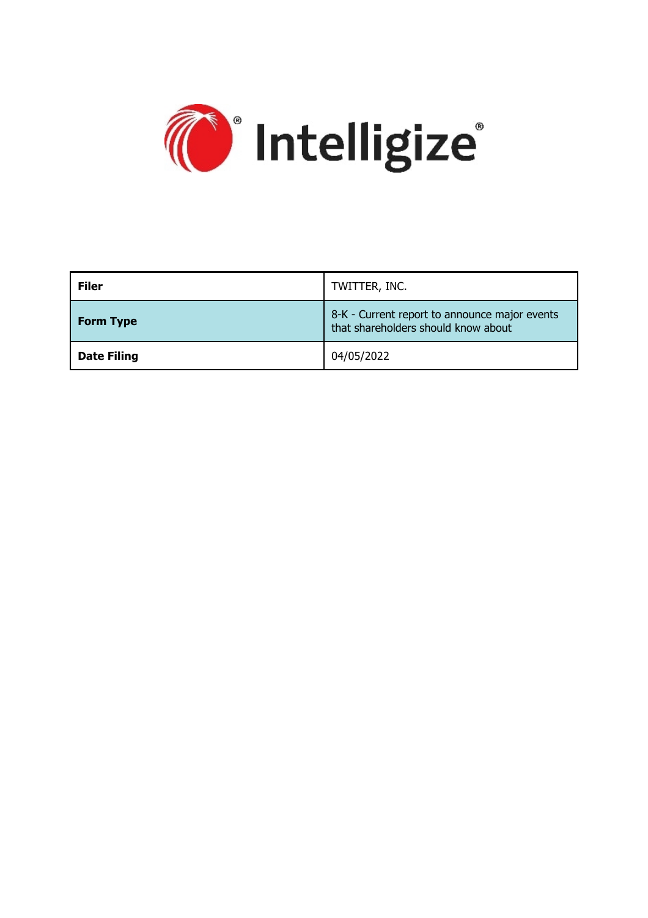

| <b>Filer</b>       | TWITTER, INC.                                                                        |
|--------------------|--------------------------------------------------------------------------------------|
| <b>Form Type</b>   | 8-K - Current report to announce major events<br>that shareholders should know about |
| <b>Date Filing</b> | 04/05/2022                                                                           |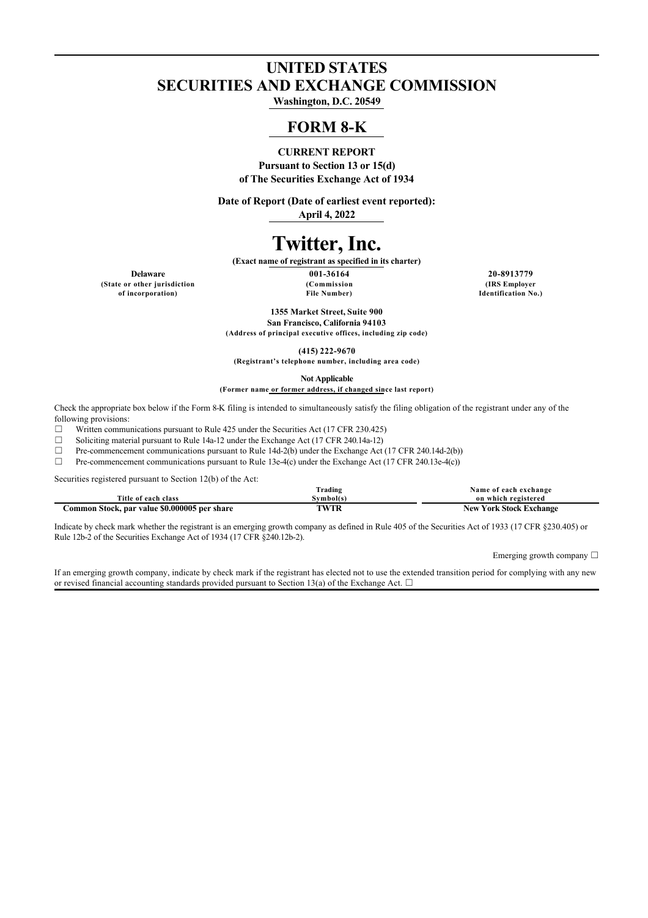# **UNITED STATES SECURITIES AND EXCHANGE COMMISSION**

**Washington, D.C. 20549**

# **FORM 8-K**

## **CURRENT REPORT**

**Pursuant to Section 13 or 15(d) of The Securities Exchange Act of 1934**

**Date of Report (Date of earliest event reported): April 4, 2022**

# **Twitter, Inc.**

**(Exact name of registrant as specified in its charter)**

**(State or other jurisdiction of incorporation)**

**Delaware 001-36164 20-8913779 (Commission File Number)**

**(IRS Employer Identification No.)**

**1355 Market Street, Suite 900 San Francisco, California 94103**

**(Address of principal executive offices, including zip code)**

**(415) 222-9670**

**(Registrant's telephone number, including area code)**

**Not Applicable (Former name or former address, if changed since last report)**

Check the appropriate box below if the Form 8-K filing is intended to simultaneously satisfy the filing obligation of the registrant under any of the following provisions:

 $\Box$  Written communications pursuant to Rule 425 under the Securities Act (17 CFR 230.425)

<p>29.16</p>\n<p>38.18</p>\n<p>48.12</p>\n<p>59.14</p>\n<p>70.14</p>\n<p>71.18</p>\n<p>73.18</p>\n<p>74.12</p>\n<p>75.19</p>\n<p>76.14</p>\n<p>77.18</p>\n<p>78.14</p>\n<p>79.14</p>\n<p>70.14</p>\n<p>71.14</p>\n<p>72.14</p>\n<p>73.14</p>\n<p>74.14</p>\n<p>75.14</p>\n<p>76.14</p>\n

Pre-commencement communications pursuant to Rule 14d-2(b) under the Exchange Act (17 CFR 240.14d-2(b))

 $\Box$  Pre-commencement communications pursuant to Rule 13e-4(c) under the Exchange Act (17 CFR 240.13e-4(c))

Securities registered pursuant to Section 12(b) of the Act:

|                                              | Trading   | Name of each exchange          |
|----------------------------------------------|-----------|--------------------------------|
| Title of each class                          | Svmbol(s) | on which registered            |
| Common Stock, par value \$0.000005 per share | TWTR      | <b>New York Stock Exchange</b> |

Indicate by check mark whether the registrant is an emerging growth company as defined in Rule 405 of the Securities Act of 1933 (17 CFR §230.405) or Rule 12b-2 of the Securities Exchange Act of 1934 (17 CFR §240.12b-2).

Emerging growth company ☐

If an emerging growth company, indicate by check mark if the registrant has elected not to use the extended transition period for complying with any new or revised financial accounting standards provided pursuant to Section 13(a) of the Exchange Act.  $\Box$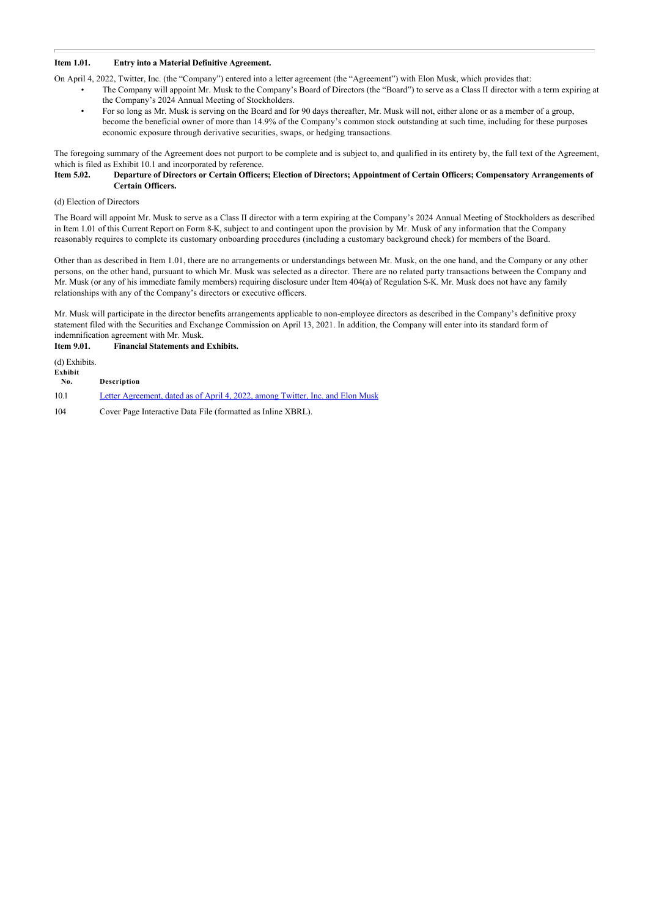#### **Item 1.01. Entry into a Material Definitive Agreement.**

On April 4, 2022, Twitter, Inc. (the "Company") entered into a letter agreement (the "Agreement") with Elon Musk, which provides that:

- The Company will appoint Mr. Musk to the Company's Board of Directors (the "Board") to serve as a Class II director with a term expiring at the Company's 2024 Annual Meeting of Stockholders.
- For so long as Mr. Musk is serving on the Board and for 90 days thereafter, Mr. Musk will not, either alone or as a member of a group, become the beneficial owner of more than 14.9% of the Company's common stock outstanding at such time, including for these purposes economic exposure through derivative securities, swaps, or hedging transactions.

The foregoing summary of the Agreement does not purport to be complete and is subject to, and qualified in its entirety by, the full text of the Agreement, which is filed as Exhibit 10.1 and incorporated by reference.<br>**Item 5.02.** Departure of Directors or Certain Officer

#### **Item 5.02. Departure of Directors or Certain Officers; Election of Directors; Appointment of Certain Officers; Compensatory Arrangements of Certain Officers.**

#### (d) Election of Directors

The Board will appoint Mr. Musk to serve as a Class II director with a term expiring at the Company's 2024 Annual Meeting of Stockholders as described in Item 1.01 of this Current Report on Form 8-K, subject to and contingent upon the provision by Mr. Musk of any information that the Company reasonably requires to complete its customary onboarding procedures (including a customary background check) for members of the Board.

Other than as described in Item 1.01, there are no arrangements or understandings between Mr. Musk, on the one hand, and the Company or any other persons, on the other hand, pursuant to which Mr. Musk was selected as a director. There are no related party transactions between the Company and Mr. Musk (or any of his immediate family members) requiring disclosure under Item 404(a) of Regulation S-K. Mr. Musk does not have any family relationships with any of the Company's directors or executive officers.

Mr. Musk will participate in the director benefits arrangements applicable to non-employee directors as described in the Company's definitive proxy statement filed with the Securities and Exchange Commission on April 13, 2021. In addition, the Company will enter into its standard form of indemnification agreement with Mr. Musk.

#### **Item 9.01. Financial Statements and Exhibits.**

(d) Exhibits.

| Exhibit<br>No. | Description                                                                    |
|----------------|--------------------------------------------------------------------------------|
| 10.1           | Letter Agreement, dated as of April 4, 2022, among Twitter, Inc. and Elon Musk |

104 Cover Page Interactive Data File (formatted as Inline XBRL).